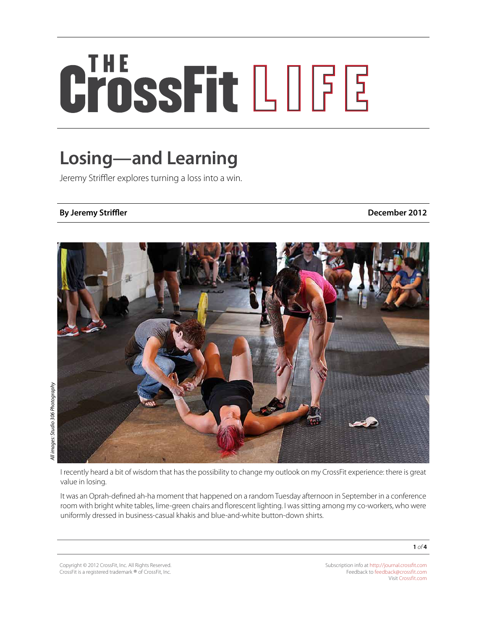# CrossFit LOGE

## **Losing—and Learning**

Jeremy Striffler explores turning a loss into a win.

### **By Jeremy Striffler December 2012**



I recently heard a bit of wisdom that has the possibility to change my outlook on my CrossFit experience: there is great value in losing.

It was an Oprah-defined ah-ha moment that happened on a random Tuesday afternoon in September in a conference room with bright white tables, lime-green chairs and florescent lighting. I was sitting among my co-workers, who were uniformly dressed in business-casual khakis and blue-and-white button-down shirts.

Copyright © 2012 CrossFit, Inc. All Rights Reserved. CrossFit is a registered trademark ® of CrossFit, Inc.

Subscription info at <http://journal.crossfit.com> Feedback to [feedback@crossfit.com](mailto:feedback@crossfit.com) Visit [Crossfit.com](http://crossfit.com/)

**1** *of* **4**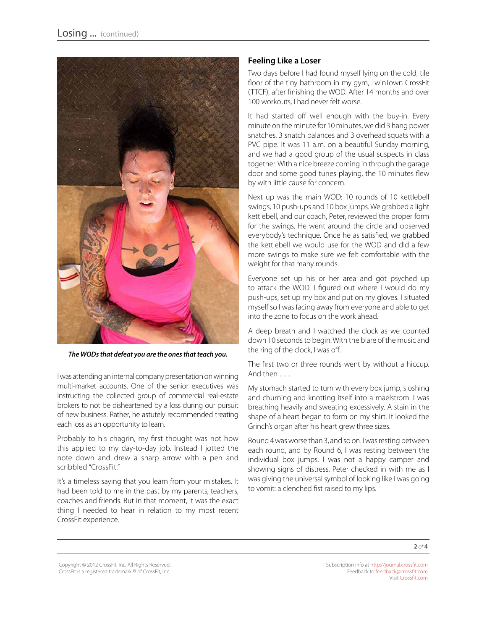

*The WODs that defeat you are the ones that teach you.* 

I was attending an internal company presentation on winning multi-market accounts. One of the senior executives was instructing the collected group of commercial real-estate brokers to not be disheartened by a loss during our pursuit of new business. Rather, he astutely recommended treating each loss as an opportunity to learn.

Probably to his chagrin, my first thought was not how this applied to my day-to-day job. Instead I jotted the note down and drew a sharp arrow with a pen and scribbled "CrossFit."

It's a timeless saying that you learn from your mistakes. It had been told to me in the past by my parents, teachers, coaches and friends. But in that moment, it was the exact thing I needed to hear in relation to my most recent CrossFit experience.

#### **Feeling Like a Loser**

Two days before I had found myself lying on the cold, tile floor of the tiny bathroom in my gym, TwinTown CrossFit (TTCF), after finishing the WOD. After 14 months and over 100 workouts, I had never felt worse.

It had started off well enough with the buy-in. Every minute on the minute for 10 minutes, we did 3 hang power snatches, 3 snatch balances and 3 overhead squats with a PVC pipe. It was 11 a.m. on a beautiful Sunday morning, and we had a good group of the usual suspects in class together. With a nice breeze coming in through the garage door and some good tunes playing, the 10 minutes flew by with little cause for concern.

Next up was the main WOD: 10 rounds of 10 kettlebell swings, 10 push-ups and 10 box jumps. We grabbed a light kettlebell, and our coach, Peter, reviewed the proper form for the swings. He went around the circle and observed everybody's technique. Once he as satisfied, we grabbed the kettlebell we would use for the WOD and did a few more swings to make sure we felt comfortable with the weight for that many rounds.

Everyone set up his or her area and got psyched up to attack the WOD. I figured out where I would do my push-ups, set up my box and put on my gloves. I situated myself so I was facing away from everyone and able to get into the zone to focus on the work ahead.

A deep breath and I watched the clock as we counted down 10 seconds to begin. With the blare of the music and the ring of the clock, I was off.

The first two or three rounds went by without a hiccup. And then … .

My stomach started to turn with every box jump, sloshing and churning and knotting itself into a maelstrom. I was breathing heavily and sweating excessively. A stain in the shape of a heart began to form on my shirt. It looked the Grinch's organ after his heart grew three sizes.

Round 4 was worse than 3, and so on. I was resting between each round, and by Round 6, I was resting between the individual box jumps. I was not a happy camper and showing signs of distress. Peter checked in with me as I was giving the universal symbol of looking like I was going to vomit: a clenched fist raised to my lips.

**2** *of* **4**

Copyright © 2012 CrossFit, Inc. All Rights Reserved. CrossFit is a registered trademark ® of CrossFit, Inc.

Subscription info at <http://journal.crossfit.com> Feedback to [feedback@crossfit.com](mailto:feedback@crossfit.com) Visit [Crossfit.com](http://crossfit.com/)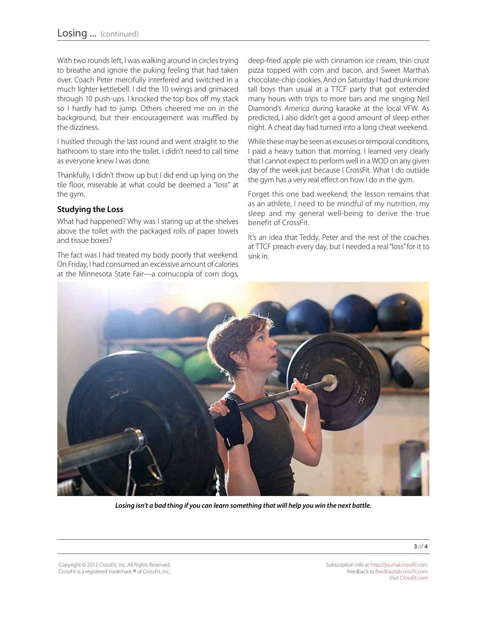With two rounds left, I was walking around in circles trying to breathe and ignore the puking feeling that had taken over. Coach Peter mercifully interfered and switched in a much lighter kettlebell. I did the 10 swings and grimaced through 10 push-ups. I knocked the top box off my stack so I hardly had to jump. Others cheered me on in the background, but their encouragement was muffled by the dizziness.

I hustled through the last round and went straight to the bathroom to stare into the toilet. I didn't need to call time as everyone knew I was done.

Thankfully, I didn't throw up but I did end up lying on the tile floor, miserable at what could be deemed a "loss" at the gym.

#### **Studying the Loss**

What had happened? Why was I staring up at the shelves above the toilet with the packaged rolls of paper towels and tissue boxes?

The fact was I had treated my body poorly that weekend. On Friday, I had consumed an excessive amount of calories at the Minnesota State Fair—a cornucopia of corn dogs,

deep-fried apple pie with cinnamon ice cream, thin crust pizza topped with corn and bacon, and Sweet Martha's chocolate-chip cookies. And on Saturday I had drunk more tall boys than usual at a TTCF party that got extended many hours with trips to more bars and me singing Neil Diamond's *America* during karaoke at the local VFW. As predicted, I also didn't get a good amount of sleep either night. A cheat day had turned into a long cheat weekend.

While these may be seen as excuses or temporal conditions, I paid a heavy tuition that morning. I learned very clearly that I cannot expect to perform well in a WOD on any given day of the week just because I CrossFit. What I do outside the gym has a very real effect on how I do in the gym.

Forget this one bad weekend; the lesson remains that as an athlete, I need to be mindful of my nutrition, my sleep and my general well-being to derive the true benefit of CrossFit.

It's an idea that Teddy, Peter and the rest of the coaches at TTCF preach every day, but I needed a real "loss" for it to sink in.



*Losing isn't a bad thing if you can learn something that will help you win the next battle.*

Copyright © 2012 CrossFit, Inc. All Rights Reserved. CrossFit is a registered trademark ® of CrossFit, Inc.

Subscription info at <http://journal.crossfit.com> Feedback to [feedback@crossfit.com](mailto:feedback@crossfit.com) Visit [Crossfit.com](http://crossfit.com/)